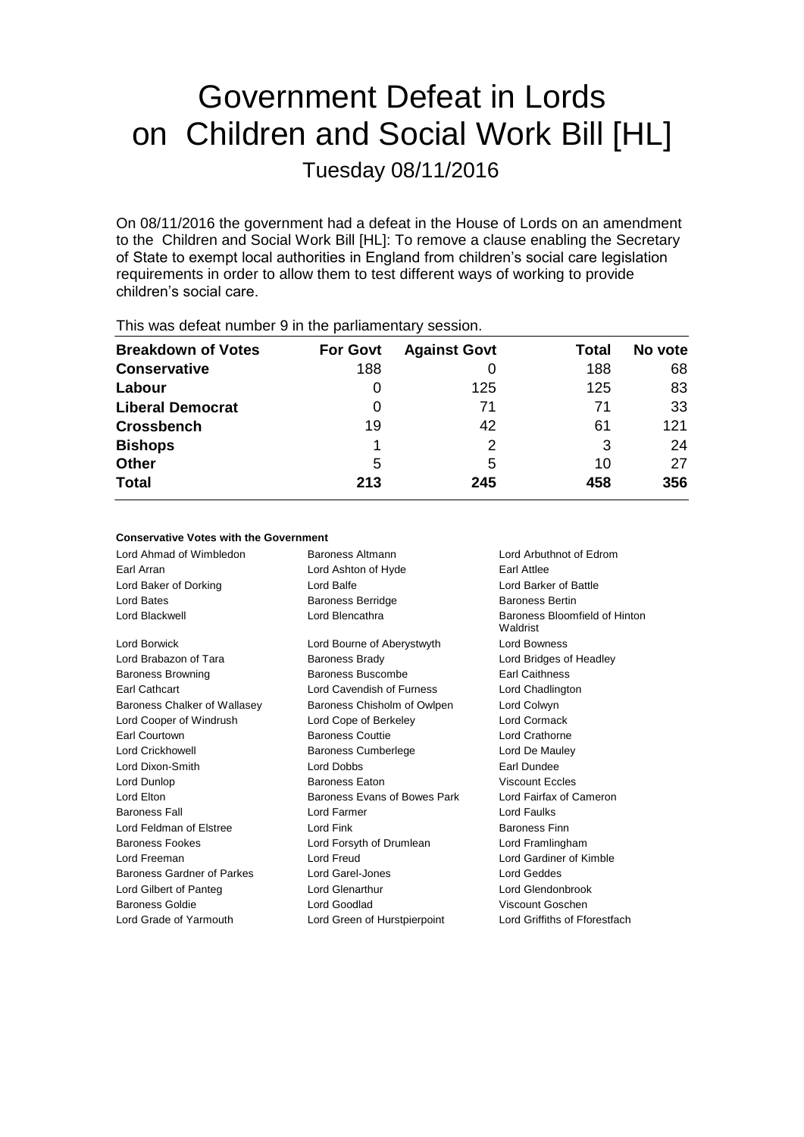# Government Defeat in Lords on Children and Social Work Bill [HL]

Tuesday 08/11/2016

On 08/11/2016 the government had a defeat in the House of Lords on an amendment to the Children and Social Work Bill [HL]: To remove a clause enabling the Secretary of State to exempt local authorities in England from children's social care legislation requirements in order to allow them to test different ways of working to provide children's social care.

| <b>THIS WAS ACTUALLIQUIDED</b> OF THE LIC <b>PAIRAITIC RATY SCSSIO</b> TI. |                 |                     |       |         |  |  |
|----------------------------------------------------------------------------|-----------------|---------------------|-------|---------|--|--|
| <b>Breakdown of Votes</b>                                                  | <b>For Govt</b> | <b>Against Govt</b> | Total | No vote |  |  |
| <b>Conservative</b>                                                        | 188             |                     | 188   | 68      |  |  |
| Labour                                                                     | O               | 125                 | 125   | 83      |  |  |
| <b>Liberal Democrat</b>                                                    | 0               | 71                  | 71    | 33      |  |  |
| <b>Crossbench</b>                                                          | 19              | 42                  | 61    | 121     |  |  |
| <b>Bishops</b>                                                             |                 |                     | 3     | 24      |  |  |
| <b>Other</b>                                                               | 5               | 5                   | 10    | 27      |  |  |
| <b>Total</b>                                                               | 213             | 245                 | 458   | 356     |  |  |
|                                                                            |                 |                     |       |         |  |  |

This was defeat number 0 in the parliamentary session

## **Conservative Votes with the Government**

| Lord Ahmad of Wimbledon           | <b>Baroness Altmann</b>      | Lord Arbuthnot of Edrom                   |  |
|-----------------------------------|------------------------------|-------------------------------------------|--|
| Earl Arran                        | Lord Ashton of Hyde          | Earl Attlee                               |  |
| Lord Baker of Dorking             | Lord Balfe                   | Lord Barker of Battle                     |  |
| Lord Bates                        | <b>Baroness Berridge</b>     | <b>Baroness Bertin</b>                    |  |
| Lord Blackwell                    | Lord Blencathra              | Baroness Bloomfield of Hinton<br>Waldrist |  |
| Lord Borwick                      | Lord Bourne of Aberystwyth   | Lord Bowness                              |  |
| Lord Brabazon of Tara             | <b>Baroness Brady</b>        | Lord Bridges of Headley                   |  |
| <b>Baroness Browning</b>          | Baroness Buscombe            | <b>Earl Caithness</b>                     |  |
| <b>Earl Cathcart</b>              | Lord Cavendish of Furness    | Lord Chadlington                          |  |
| Baroness Chalker of Wallasey      | Baroness Chisholm of Owlpen  | Lord Colwyn                               |  |
| Lord Cooper of Windrush           | Lord Cope of Berkeley        | Lord Cormack                              |  |
| Earl Courtown                     | <b>Baroness Couttie</b>      | Lord Crathorne                            |  |
| Lord Crickhowell                  | <b>Baroness Cumberlege</b>   | Lord De Mauley                            |  |
| Lord Dixon-Smith                  | Lord Dobbs                   | Earl Dundee                               |  |
| Lord Dunlop                       | Baroness Eaton               | <b>Viscount Eccles</b>                    |  |
| Lord Elton                        | Baroness Evans of Bowes Park | Lord Fairfax of Cameron                   |  |
| <b>Baroness Fall</b>              | Lord Farmer                  | Lord Faulks                               |  |
| Lord Feldman of Elstree           | Lord Fink                    | <b>Baroness Finn</b>                      |  |
| <b>Baroness Fookes</b>            | Lord Forsyth of Drumlean     | Lord Framlingham                          |  |
| Lord Freeman                      | Lord Freud                   | Lord Gardiner of Kimble                   |  |
| <b>Baroness Gardner of Parkes</b> | Lord Garel-Jones             | Lord Geddes                               |  |
| Lord Gilbert of Panteg            | Lord Glenarthur              | Lord Glendonbrook                         |  |
| <b>Baroness Goldie</b>            | Lord Goodlad                 | Viscount Goschen                          |  |
| Lord Grade of Yarmouth            | Lord Green of Hurstpierpoint | Lord Griffiths of Fforestfach             |  |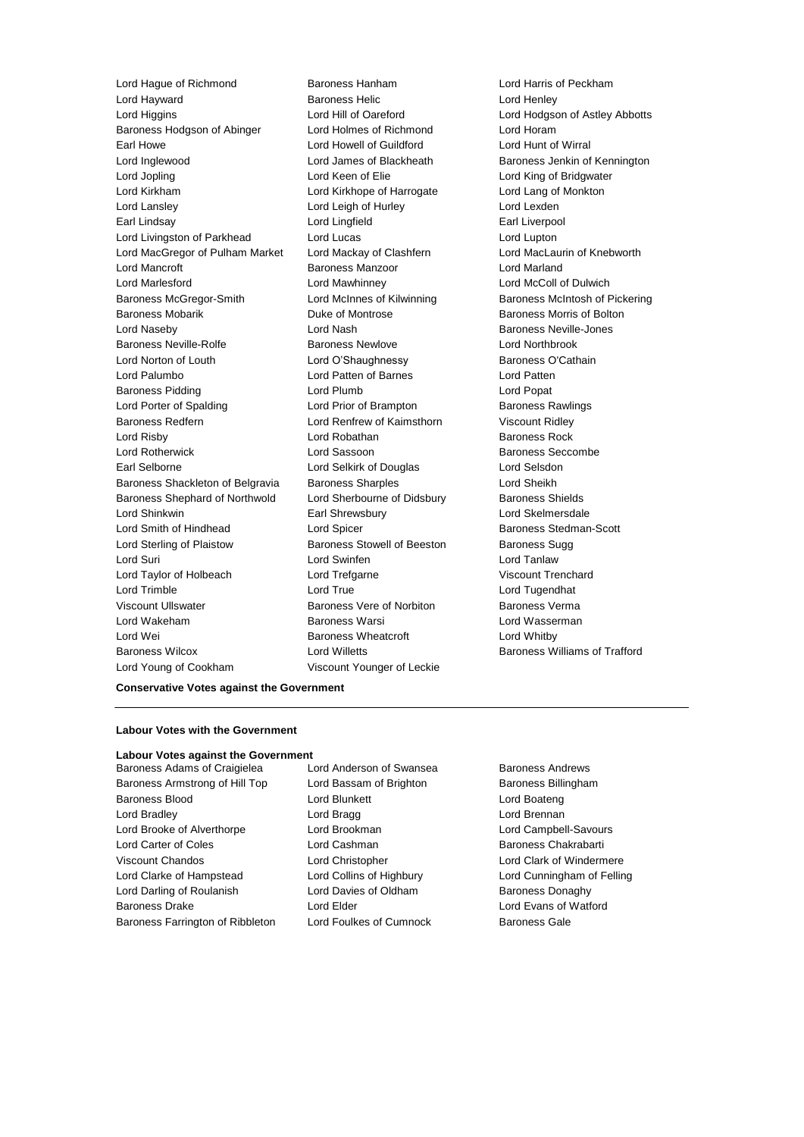Lord Hague of Richmond Baroness Hanham Lord Harris of Peckham Lord Hayward **Baroness Helic** Lord Henley<br>
Lord Higgins<br>
Lord Higgins Lord Higgins Lord Higgins Lord Hodes Lord Higgins Lord Hill of Oareford Lord Hodgson of Astley Abbotts Baroness Hodgson of Abinger Lord Holmes of Richmond Lord Horam Earl Howe Lord Howell of Guildford Lord Hunt of Wirral Lord Inglewood **Lord James of Blackheath** Baroness Jenkin of Kennington Lord Jopling **Lord Keen of Elie** Lord Keen Conservation Lord King of Bridgwater Lord Kirkham Lord Kirkhope of Harrogate Lord Lang of Monkton Lord Lansley **Lord Leigh of Hurley** Lord Lexden Earl Lindsay Lord Lingfield Earl Liverpool Lord Livingston of Parkhead Lord Lucas Lord Lucas Lord Lupton Lord MacGregor of Pulham Market Lord Mackay of Clashfern Lord MacLaurin of Knebworth Lord Mancroft **Baroness Manzoor Baroness Manzoor Lord Marland** Lord Marlesford Lord Mawhinney Lord McColl of Dulwich Baroness McGregor-Smith Lord McInnes of Kilwinning Baroness McIntosh of Pickering Baroness Mobarik **Baroness Mobaris Community** Duke of Montrose **Baroness Morris of Bolton** Lord Naseby **Lord Nash Baroness Neville-Jones** Baroness Neville-Rolfe Baroness Newlove Lord Northbrook Lord Norton of Louth Lord O'Shaughnessy Baroness O'Cathain Lord Palumbo Lord Patten of Barnes Lord Patten Baroness Pidding **Lord Plumb** Lord Plumb **Lord Popat** Lord Porter of Spalding Lord Prior of Brampton Baroness Rawlings Baroness Redfern Lord Renfrew of Kaimsthorn Viscount Ridley Lord Risby **Lord Robathan** Baroness Rock Lord Rotherwick **Lord Sassoon** Christene Baroness Seccombe Earl Selborne Lord Selkirk of Douglas Lord Selsdon Baroness Shackleton of Belgravia Baroness Sharples Contract Cord Sheikh Baroness Shephard of Northwold Lord Sherbourne of Didsbury Baroness Shields Lord Shinkwin Earl Shrewsbury Lord Skelmersdale Lord Smith of Hindhead Lord Spicer Baroness Stedman-Scott Lord Sterling of Plaistow **Baroness Stowell of Beeston** Baroness Sugg Lord Suri Lord Swinfen Lord Tanlaw Lord Taylor of Holbeach **Lord Trefgarne Lord Trenchard** Viscount Trenchard Lord Trimble **Lord True** Lord True Lord Tugendhat Viscount Ullswater Baroness Vere of Norbiton Baroness Verma Lord Wakeham Baroness Warsi Lord Wasserman Lord Wei **Baroness Wheatcroft** Lord Whitby Baroness Wilcox Lord Willetts Baroness Williams of Trafford Lord Young of Cookham Viscount Younger of Leckie

#### **Conservative Votes against the Government**

#### **Labour Votes with the Government**

#### **Labour Votes against the Government**

Baroness Armstrong of Hill Top Lord Bassam of Brighton Baroness Billingham Baroness Blood **Lord Blunkett** Lord Boateng Lord Boateng Lord Bradley **Lord Bragg Lord Bragg Lord Brennan** Lord Brooke of Alverthorpe Lord Brookman Lord Campbell-Savours Lord Carter of Coles Lord Cashman Baroness Chakrabarti Viscount Chandos Lord Christopher Lord Clark of Windermere Lord Clarke of Hampstead Lord Collins of Highbury Lord Cunningham of Felling Lord Darling of Roulanish Lord Davies of Oldham Baroness Donaghy Baroness Drake Lord Elder Lord Evans of Watford Baroness Farrington of Ribbleton Lord Foulkes of Cumnock Baroness Gale

Baroness Adams of Craigielea Lord Anderson of Swansea Baroness Andrews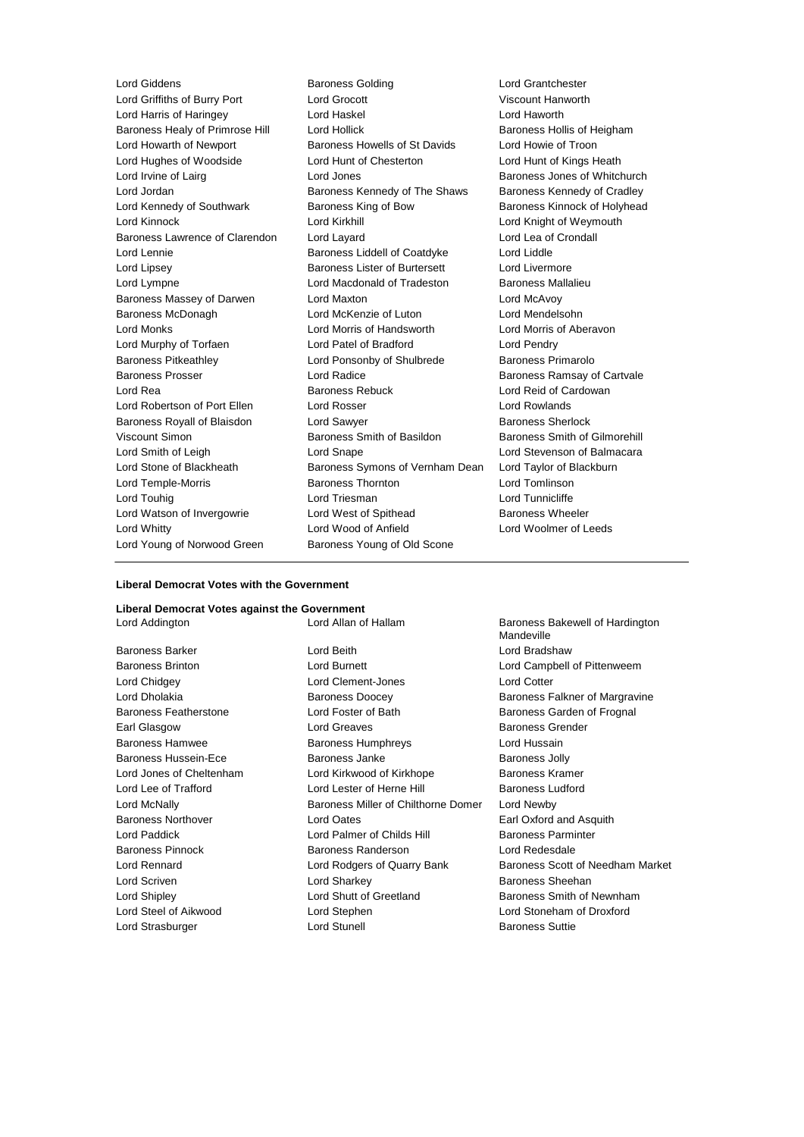Lord Griffiths of Burry Port Lord Grocott Viscount Hanworth Lord Harris of Haringey Lord Haskel Lord Haworth Baroness Healy of Primrose Hill Lord Hollick Baroness Hollis of Heigham Lord Howarth of Newport Baroness Howells of St Davids Lord Howie of Troon Lord Hughes of Woodside Lord Hunt of Chesterton Lord Hunt of Kings Heath Lord Irvine of Lairg **Lord Jones** Lord Jones **Baroness Jones** of Whitchurch Lord Jordan Baroness Kennedy of The Shaws Baroness Kennedy of Cradley Lord Kennedy of Southwark Baroness King of Bow Baroness Kinnock of Holyhead Lord Kinnock Lord Kirkhill Lord Knight of Weymouth Baroness Lawrence of Clarendon Lord Layard Lord Lea of Crondall Lord Lennie Baroness Liddell of Coatdyke Lord Liddle Lord Lipsey Baroness Lister of Burtersett Lord Livermore Lord Lympne Lord Macdonald of Tradeston Baroness Mallalieu Baroness Massey of Darwen Lord Maxton Lord McAvoy Baroness McDonagh Lord McKenzie of Luton Lord Mendelsohn Lord Monks Lord Morris of Handsworth Lord Morris of Aberavon Lord Murphy of Torfaen Lord Patel of Bradford Lord Pendry Baroness Pitkeathley Lord Ponsonby of Shulbrede Baroness Primarolo Baroness Prosser **Baroness Prosser Lord Radice Baroness Ramsay of Cartvale** Lord Rea Baroness Rebuck Lord Reid of Cardowan Lord Robertson of Port Ellen Lord Rosser Contract Lord Rowlands Baroness Royall of Blaisdon Lord Sawyer **Baroness Sherlock** Baroness Sherlock Viscount Simon Baroness Smith of Basildon Baroness Smith of Gilmorehill Lord Smith of Leigh Lord Snape Lord Stevenson of Balmacara Lord Stone of Blackheath Baroness Symons of Vernham Dean Lord Taylor of Blackburn Lord Temple-Morris Baroness Thornton Lord Tomlinson Lord Touhig Lord Triesman Lord Tunnicliffe Lord Watson of Invergowrie **Lord West of Spithead** Baroness Wheeler Lord Whitty Lord Wood of Anfield Lord Woolmer of Leeds Lord Young of Norwood Green Baroness Young of Old Scone

Lord Giddens **Baroness Golding Baroness Golding Lord Grantchester** 

## **Liberal Democrat Votes with the Government**

#### **Liberal Democrat Votes against the Government**

Baroness Barker Lord Beith Lord Bradshaw Baroness Brinton **Lord Burnett** Lord Campbell of Pittenweem Lord Chidgey Lord Clement-Jones Lord Cotter Lord Dholakia **Baroness Doocey** Baroness Doocey Baroness Falkner of Margravine Baroness Featherstone **Lord Foster of Bath** Baroness Garden of Frognal Earl Glasgow **Lord Greaves** Baroness Grender Baroness Hamwee Baroness Humphreys Lord Hussain Baroness Hussein-Ece **Baroness Janke** Baroness Janke **Baroness Jolly** Lord Jones of Cheltenham Lord Kirkwood of Kirkhope Baroness Kramer Lord Lee of Trafford **Lord Lester of Herne Hill** Baroness Ludford Lord McNally Baroness Miller of Chilthorne Domer Lord Newby Baroness Northover Lord Oates Earl Oxford and Asquith Lord Paddick **Lord Palmer of Childs Hill** Baroness Parminter Baroness Pinnock Baroness Randerson Lord Redesdale Lord Rennard Lord Rodgers of Quarry Bank Baroness Scott of Needham Market Lord Scriven **Lord Sharkey Conserverse Exercise Sheehan** Lord Shipley **Lord Shutt of Greetland** Baroness Smith of Newnham Lord Steel of Aikwood Lord Stephen Lord Stoneham of Droxford Lord Strasburger The Lord Stunell Baroness Suttie

Lord Addington Lord Allan of Hallam Baroness Bakewell of Hardington Mandeville